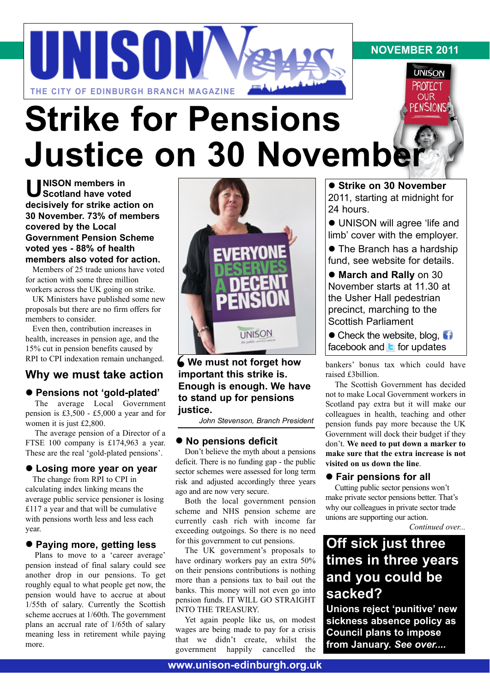# UNISON **THE CITY OF EDINBURGH BRANCH MAGAZINE**

# **PENSIONS Strike for Pensions Justice on 30 November**

**U NISON members in Scotland have voted decisively for strike action on 30 November. 73% of members covered by the Local Government Pension Scheme voted yes - 88% of health members also voted for action.** 

Members of 25 trade unions have voted for action with some three million workers across the UK going on strike.

UK Ministers have published some new proposals but there are no firm offers for members to consider.

Even then, contribution increases in health, increases in pension age, and the 15% cut in pension benefits caused by RPI to CPI indexation remain unchanged.

### **Why we must take action**

### l **Pensions not 'gold-plated'**

The average Local Government pension is £3,500 - £5,000 a year and for women it is just £2,800.

The average pension of a Director of a FTSE 100 company is £174,963 a year. These are the real 'gold-plated pensions'.

### $\bullet$  **Losing more year on year**

The change from RPI to CPI in calculating index linking means the average public service pensioner is losing £117 a year and that will be cumulative with pensions worth less and less each year.

### l **Paying more, getting less**

Plans to move to a 'career average' pension instead of final salary could see another drop in our pensions. To get roughly equal to what people get now, the pension would have to accrue at about 1/55th of salary. Currently the Scottish scheme accrues at 1/60th. The government plans an accrual rate of 1/65th of salary meaning less in retirement while paying more.



**We must not forget how<br>
important this strike is.<br>
Enough is enough. We ha important this strike is. Enough is enough. We have to stand up for pensions justice.**

*John Stevenson, Branch President*

### **• No pensions deficit**

Don't believe the myth about a pensions deficit. There is no funding gap - the public sector schemes were assessed for long term risk and adjusted accordingly three years ago and are now very secure.

Both the local government pension scheme and NHS pension scheme are currently cash rich with income far exceeding outgoings. So there is no need for this government to cut pensions.

The UK government's proposals to have ordinary workers pay an extra 50% on their pensions contributions is nothing more than a pensions tax to bail out the banks. This money will not even go into pension funds. IT WILL GO STRAIGHT INTO THE TREASURY.

Yet again people like us, on modest wages are being made to pay for a crisis that we didn't create, whilst the government happily cancelled the

 $\bullet$  **Strike on 30 November** 2011, starting at midnight for 24 hours.

**NOVEMBER 2011**

**UNISON PROTECT OUR** 

 $\bullet$  UNISON will agree 'life and limb' cover with the employer.

• The Branch has a hardship fund, see website for details.

 $\bullet$  **March and Rally** on 30 November starts at 11.30 at the Usher Hall pedestrian precinct, marching to the Scottish Parliament

 $\bullet$  Check the website, blog,  $\bullet$ facebook and  $\blacksquare$  for updates

bankers' bonus tax which could have raised £3billion.

The Scottish Government has decided not to make Local Government workers in Scotland pay extra but it will make our colleagues in health, teaching and other pension funds pay more because the UK Government will dock their budget if they don't. **We need to put down a marker to make sure that the extra increase is not visited on us down the line**.

### **• Fair pensions for all**

Cutting public sector pensions won't make private sector pensions better. That's why our colleagues in private sector trade unions are supporting our action.

*Continued over...*

## **Off sick just three times in three years and you could be sacked?**

**Unions reject 'punitive' new sickness absence policy as Council plans to impose from January.** *See over....*